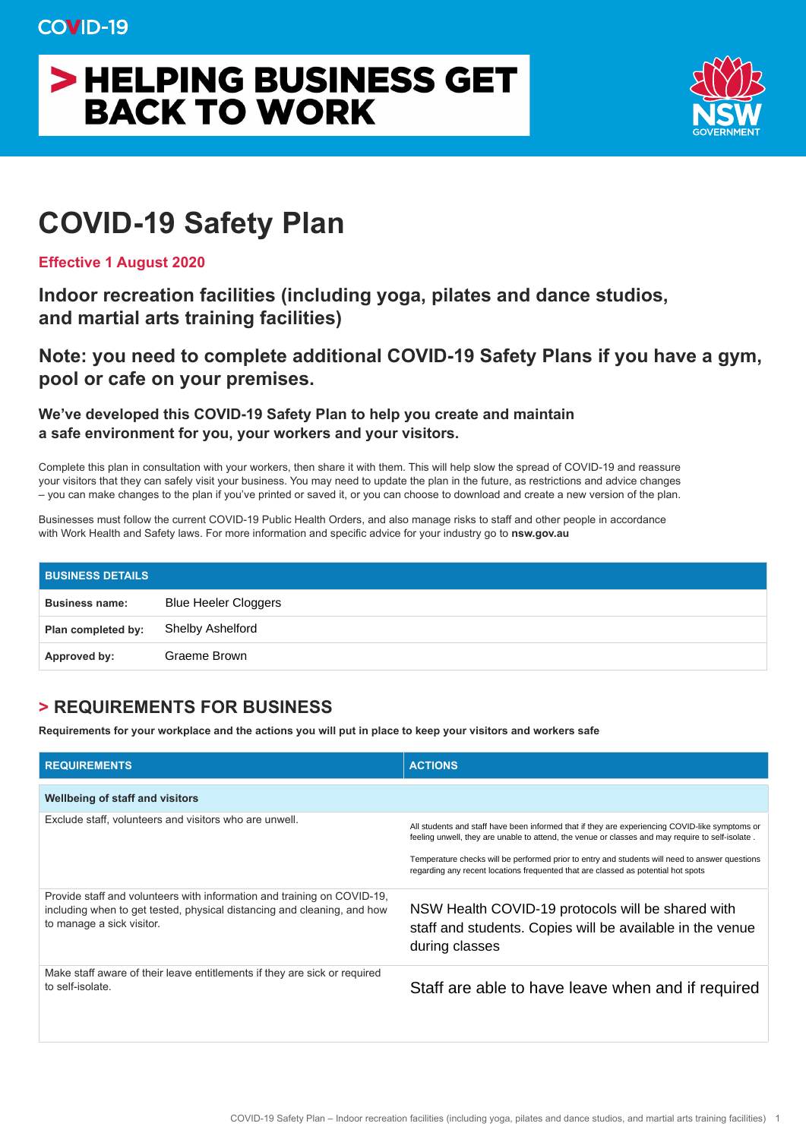## > HELPING BUSINESS GET **BACK TO WORK**



## **COVID-19 Safety Plan**

**Effective 1 August 2020** 

**Indoor recreation facilities (including yoga, pilates and dance studios, and martial arts training facilities)** 

**Note: you need to complete additional COVID-19 Safety Plans if you have a gym, pool or cafe on your premises.** 

**We've developed this COVID-19 Safety Plan to help you create and maintain a safe environment for you, your workers and your visitors.** 

Complete this plan in consultation with your workers, then share it with them. This will help slow the spread of COVID-19 and reassure your visitors that they can safely visit your business. You may need to update the plan in the future, as restrictions and advice changes – you can make changes to the plan if you've printed or saved it, or you can choose to download and create a new version of the plan.

Businesses must follow the current COVID-19 Public Health Orders, and also manage risks to staff and other people in accordance with Work Health and Safety laws. For more information and specific advice for your industry go to **nsw.gov.au** 

| <b>BUSINESS DETAILS</b> |                             |
|-------------------------|-----------------------------|
| <b>Business name:</b>   | <b>Blue Heeler Cloggers</b> |
| Plan completed by:      | Shelby Ashelford            |
| Approved by:            | Graeme Brown                |

## **> REQUIREMENTS FOR BUSINESS**

**Requirements for your workplace and the actions you will put in place to keep your visitors and workers safe** 

| <b>REQUIREMENTS</b>                                                                                                                                                             | <b>ACTIONS</b>                                                                                                                                                                                                                                                                                                                                                                            |  |  |  |
|---------------------------------------------------------------------------------------------------------------------------------------------------------------------------------|-------------------------------------------------------------------------------------------------------------------------------------------------------------------------------------------------------------------------------------------------------------------------------------------------------------------------------------------------------------------------------------------|--|--|--|
| <b>Wellbeing of staff and visitors</b>                                                                                                                                          |                                                                                                                                                                                                                                                                                                                                                                                           |  |  |  |
| Exclude staff, volunteers and visitors who are unwell.                                                                                                                          | All students and staff have been informed that if they are experiencing COVID-like symptoms or<br>feeling unwell, they are unable to attend, the venue or classes and may require to self-isolate.<br>Temperature checks will be performed prior to entry and students will need to answer questions<br>regarding any recent locations frequented that are classed as potential hot spots |  |  |  |
| Provide staff and volunteers with information and training on COVID-19,<br>including when to get tested, physical distancing and cleaning, and how<br>to manage a sick visitor. | NSW Health COVID-19 protocols will be shared with<br>staff and students. Copies will be available in the venue<br>during classes                                                                                                                                                                                                                                                          |  |  |  |
| Make staff aware of their leave entitlements if they are sick or required<br>to self-isolate.                                                                                   | Staff are able to have leave when and if required                                                                                                                                                                                                                                                                                                                                         |  |  |  |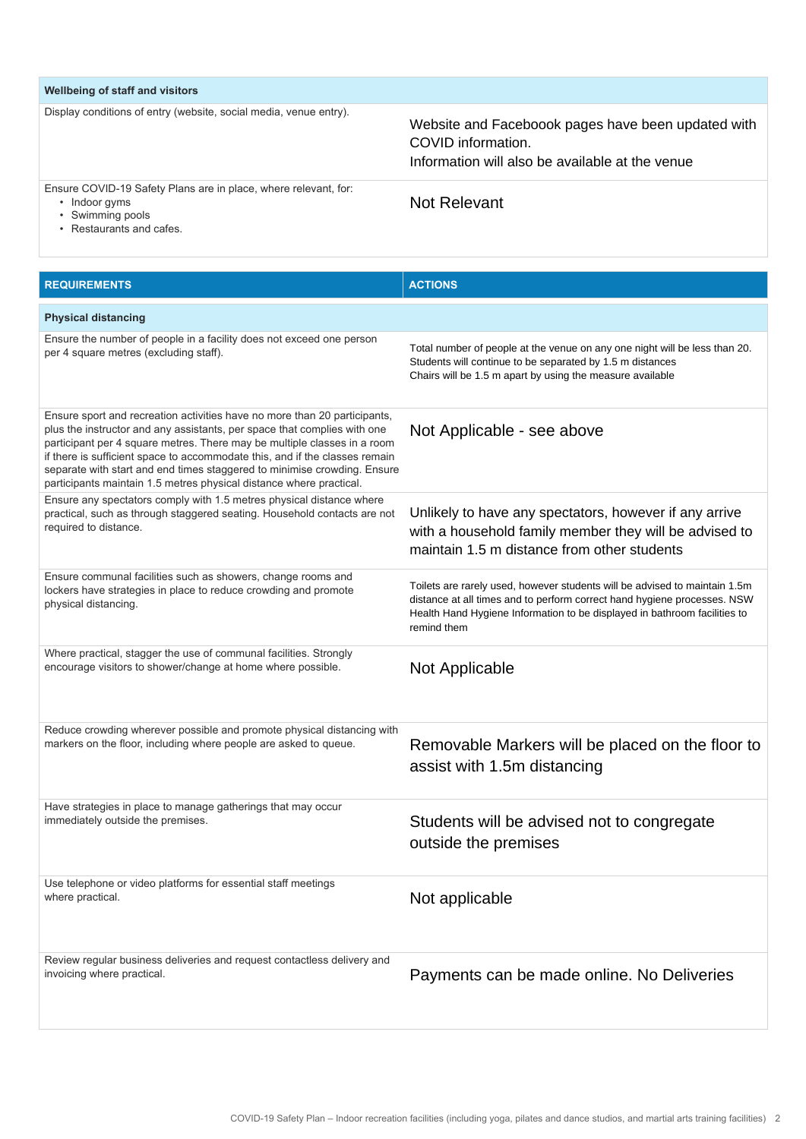| Wellbeing of staff and visitors                                                                    |                                                                                                                             |
|----------------------------------------------------------------------------------------------------|-----------------------------------------------------------------------------------------------------------------------------|
| Display conditions of entry (website, social media, venue entry).                                  | Website and Faceboook pages have been updated with<br>COVID information.<br>Information will also be available at the venue |
| Ensure COVID-19 Safety Plans are in place, where relevant, for:<br>• Indoor gyms<br>Swimming pools | Not Relevant                                                                                                                |

• Restaurants and cafes.

**REQUIREMENTS ACTIONS Physical distancing**  Ensure the number of people in a facility does not exceed one person per 4 square metres (excluding staff). Ensure sport and recreation activities have no more than 20 participants, plus the instructor and any assistants, per space that complies with one participant per 4 square metres. There may be multiple classes in a room if there is sufficient space to accommodate this, and if the classes remain separate with start and end times staggered to minimise crowding. Ensure participants maintain 1.5 metres physical distance where practical. Ensure any spectators comply with 1.5 metres physical distance where practical, such as through staggered seating. Household contacts are not required to distance. Ensure communal facilities such as showers, change rooms and lockers have strategies in place to reduce crowding and promote physical distancing. Where practical, stagger the use of communal facilities. Strongly encourage visitors to shower/change at home where possible. Reduce crowding wherever possible and promote physical distancing with markers on the floor, including where people are asked to queue. Have strategies in place to manage gatherings that may occur immediately outside the premises. Use telephone or video platforms for essential staff meetings where practical. Review regular business deliveries and request contactless delivery and invoicing where practical. Total number of people at the venue on any one night will be less than 20. Students will continue to be separated by 1.5 m distances Chairs will be 1.5 m apart by using the measure available Not Applicable - see above Unlikely to have any spectators, however if any arrive with a household family member they will be advised to maintain 1.5 m distance from other students Toilets are rarely used, however students will be advised to maintain 1.5m distance at all times and to perform correct hand hygiene processes. NSW Health Hand Hygiene Information to be displayed in bathroom facilities to remind them Not Applicable Removable Markers will be placed on the floor to assist with 1.5m distancing Students will be advised not to congregate outside the premises Not applicable Payments can be made online. No Deliveries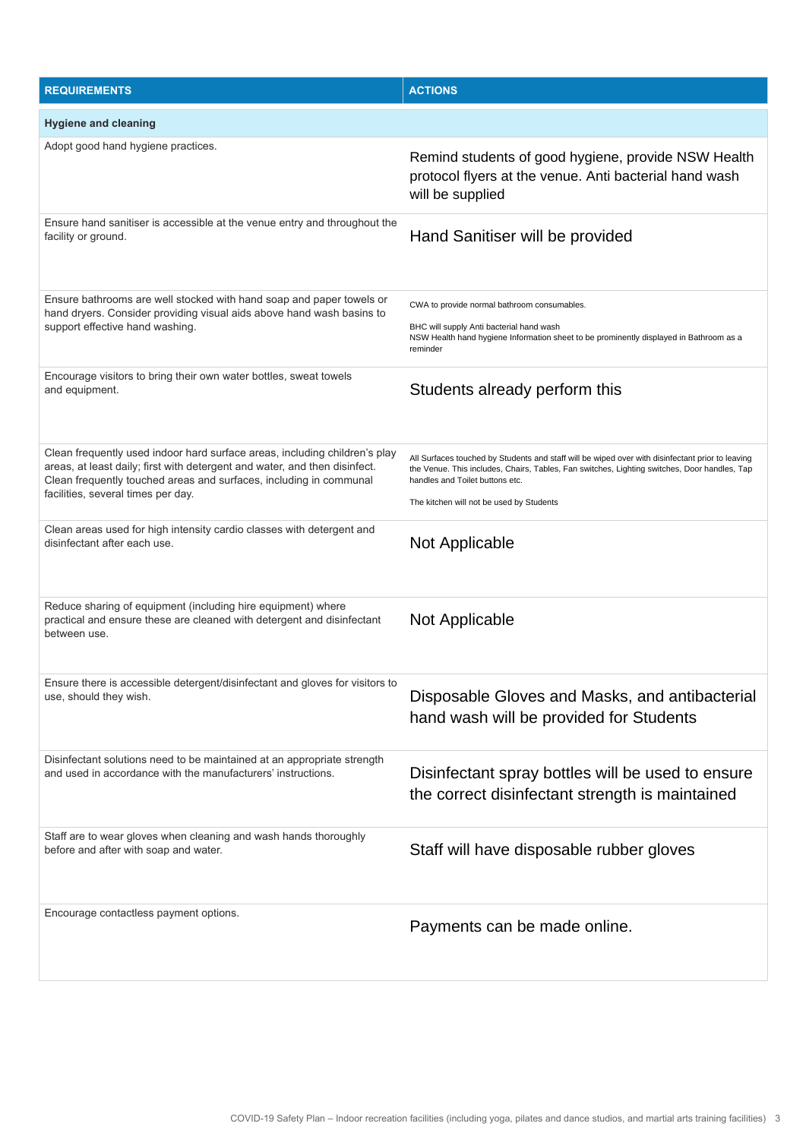| <b>REQUIREMENTS</b>                                                                                                                                                                                                                                                  | <b>ACTIONS</b>                                                                                                                                                                                                                                                                  |
|----------------------------------------------------------------------------------------------------------------------------------------------------------------------------------------------------------------------------------------------------------------------|---------------------------------------------------------------------------------------------------------------------------------------------------------------------------------------------------------------------------------------------------------------------------------|
| <b>Hygiene and cleaning</b>                                                                                                                                                                                                                                          |                                                                                                                                                                                                                                                                                 |
| Adopt good hand hygiene practices.                                                                                                                                                                                                                                   | Remind students of good hygiene, provide NSW Health<br>protocol flyers at the venue. Anti bacterial hand wash<br>will be supplied                                                                                                                                               |
| Ensure hand sanitiser is accessible at the venue entry and throughout the<br>facility or ground.                                                                                                                                                                     | Hand Sanitiser will be provided                                                                                                                                                                                                                                                 |
| Ensure bathrooms are well stocked with hand soap and paper towels or<br>hand dryers. Consider providing visual aids above hand wash basins to<br>support effective hand washing.                                                                                     | CWA to provide normal bathroom consumables.<br>BHC will supply Anti bacterial hand wash<br>NSW Health hand hygiene Information sheet to be prominently displayed in Bathroom as a<br>reminder                                                                                   |
| Encourage visitors to bring their own water bottles, sweat towels<br>and equipment.                                                                                                                                                                                  | Students already perform this                                                                                                                                                                                                                                                   |
| Clean frequently used indoor hard surface areas, including children's play<br>areas, at least daily; first with detergent and water, and then disinfect.<br>Clean frequently touched areas and surfaces, including in communal<br>facilities, several times per day. | All Surfaces touched by Students and staff will be wiped over with disinfectant prior to leaving<br>the Venue. This includes, Chairs, Tables, Fan switches, Lighting switches, Door handles, Tap<br>handles and Toilet buttons etc.<br>The kitchen will not be used by Students |
| Clean areas used for high intensity cardio classes with detergent and<br>disinfectant after each use.                                                                                                                                                                | Not Applicable                                                                                                                                                                                                                                                                  |
| Reduce sharing of equipment (including hire equipment) where<br>practical and ensure these are cleaned with detergent and disinfectant<br>between use.                                                                                                               | Not Applicable                                                                                                                                                                                                                                                                  |
| Ensure there is accessible detergent/disinfectant and gloves for visitors to<br>use, should they wish.                                                                                                                                                               | Disposable Gloves and Masks, and antibacterial<br>hand wash will be provided for Students                                                                                                                                                                                       |
| Disinfectant solutions need to be maintained at an appropriate strength<br>and used in accordance with the manufacturers' instructions.                                                                                                                              | Disinfectant spray bottles will be used to ensure<br>the correct disinfectant strength is maintained                                                                                                                                                                            |
| Staff are to wear gloves when cleaning and wash hands thoroughly<br>before and after with soap and water.                                                                                                                                                            | Staff will have disposable rubber gloves                                                                                                                                                                                                                                        |
| Encourage contactless payment options.                                                                                                                                                                                                                               | Payments can be made online.                                                                                                                                                                                                                                                    |